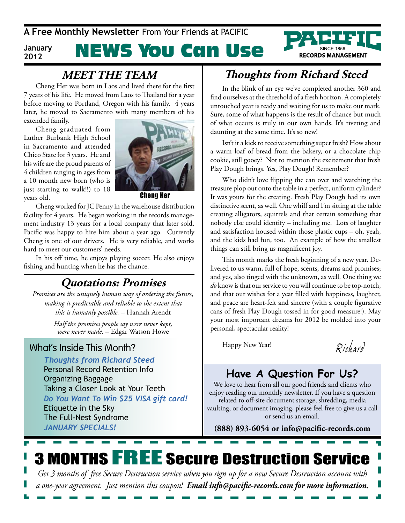**A Free Monthly Newsletter** From Your Friends at PaCIFIC

#### **January 2012**

# NEWS You Can Use



Cheng Her was born in Laos and lived there for the first 7 years of his life. He moved from Laos to Thailand for a year before moving to Portland, Oregon with his family. 4 years later, he moved to Sacramento with many members of his extended family.

Cheng graduated from Luther Burbank High School in Sacramento and attended Chico State for 3 years. He and his wife are the proud parents of 4 children ranging in ages from a 10 month new born (who is just starting to walk!!) to 18 years old.



Cheng her

Cheng worked for JC Penny in the warehouse distribution facility for 4 years. He began working in the records management industry 13 years for a local company that later sold. Pacific was happy to hire him about a year ago. Currently Cheng is one of our drivers. He is very reliable, and works hard to meet our customers' needs.

In his off time, he enjoys playing soccer. He also enjoys fishing and hunting when he has the chance.

### **Quotations: Promises**

*Promises are the uniquely human way of ordering the future, making it predictable and reliable to the extent that this is humanly possible.* – Hannah Arendt

> *Half the promises people say were never kept, were never made.* – Edgar Watson Howe

#### What's Inside This Month?

*Thoughts from Richard Steed* Personal Record Retention Info Organizing Baggage Taking a Closer Look at Your Teeth *Do You Want To Win \$25 VISA gift card!* Etiquette in the Sky The Full-Nest Syndrome *JAnuARY SpecIAlS!*

# **MEET THE TEAM Thoughts from Richard Steed**

In the blink of an eye we've completed another 360 and find ourselves at the threshold of a fresh horizon. A completely untouched year is ready and waiting for us to make our mark. Sure, some of what happens is the result of chance but much of what occurs is truly in our own hands. It's riveting and daunting at the same time. It's so new!

Isn't it a kick to receive something super fresh? How about a warm loaf of bread from the bakery, or a chocolate chip cookie, still gooey? Not to mention the excitement that fresh Play Dough brings. Yes, Play Dough! Remember?

Who didn't love flipping the can over and watching the treasure plop out onto the table in a perfect, uniform cylinder? It was yours for the creating. Fresh Play Dough had its own distinctive scent, as well. One whiff and I'm sitting at the table creating alligators, squirrels and that certain something that nobody else could identify – including me. Lots of laughter and satisfaction housed within those plastic cups – oh, yeah, and the kids had fun, too. An example of how the smallest things can still bring us magnificent joy.

This month marks the fresh beginning of a new year. Delivered to us warm, full of hope, scents, dreams and promises; and yes, also tinged with the unknown, as well. One thing we *do* know is that our service to you will continue to be top-notch, and that our wishes for a year filled with happiness, laughter, and peace are heart-felt and sincere (with a couple figurative cans of fresh Play Dough tossed in for good measure!). May your most important dreams for 2012 be molded into your personal, spectacular reality!

Happy New Year!

*R ic har d*

### **Have A Question For Us?**

We love to hear from all our good friends and clients who enjoy reading our monthly newsletter. If you have a question related to off-site document storage, shredding, media vaulting, or document imaging, please feel free to give us a call or send us an email.

**(888) 893-6054 or info@pacific-records.com**

# 3 months FREE secure Destruction service

*Get 3 months of free Secure Destruction service when you sign up for a new Secure Destruction account with a one-year agreement. Just mention this coupon! Email info@pacific-records.com for more information.*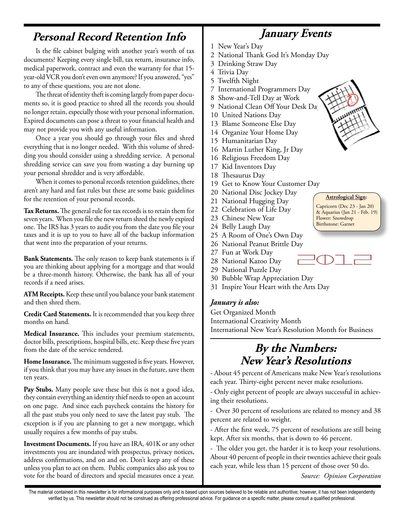### **Personal Record Retention Info**

Is the file cabinet bulging with another year's worth of tax documents? Keeping every single bill, tax return, insurance info, medical paperwork, contract and even the warranty for that 15 year-old VCR you don't even own anymore? If you answered, "yes" to any of these questions, you are not alone.

The threat of identity theft is coming largely from paper documents so, it is good practice to shred all the records you should no longer retain, especially those with your personal information. Expired documents can pose a threat to your financial health and may not provide you with any useful information.

Once a year you should go through your files and shred everything that is no longer needed. With this volume of shredding you should consider using a shredding service. A personal shredding service can save you from wasting a day burning up your personal shredder and is very affordable.

When it comes to personal records retention guidelines, there aren't any hard and fast rules but these are some basic guidelines for the retention of your personal records.

**Tax Returns.** The general rule for tax records is to retain them for seven years. When you file the new return shred the newly expired one. The IRS has 3 years to audit you from the date you file your taxes and it is up to you to have all of the backup information that went into the preparation of your returns.

**Bank Statements.** The only reason to keep bank statements is if you are thinking about applying for a mortgage and that would be a three-month history. Otherwise, the bank has all of your records if a need arises.

**ATM Receipts.** Keep these until you balance your bank statement and then shred them.

**Credit Card Statements.** It is recommended that you keep three months on hand.

**Medical Insurance.** This includes your premium statements, doctor bills, prescriptions, hospital bills, etc. Keep these five years from the date of the service rendered.

**Home Insurance.** The minimum suggested is five years. However, if you think that you may have any issues in the future, save them ten years.

Pay Stubs. Many people save these but this is not a good idea, they contain everything an identity thief needs to open an account on one page. And since each paycheck contains the history for all the past stubs you only need to save the latest pay stub. The exception is if you are planning to get a new mortgage, which usually requires a few months of pay stubs.

**Investment Documents.** If you have an IRA, 401K or any other investments you are inundated with prospectus, privacy notices, address confirmations, and on and on. Don't keep any of these unless you plan to act on them. Public companies also ask you to vote for the board of directors and special measures once a year.

- 1 New Year's Day
- 2 National Thank God It's Monday Day

**January Events**

- 3 Drinking Straw Day
- 4 Trivia Day
- 5 Twelfth Night
- 7 International Programmers Day
- 8 Show-and-Tell Day at Work
- 9 National Clean Off Your Desk Day
- 10 United Nations Day
- 13 Blame Someone Else Day
- 14 Organize Your Home Day
- 15 Humanitarian Day
- 16 Martin Luther King, Jr Day
- 16 Religious Freedom Day
- 17 Kid Inventors Day
- 18 Thesaurus Day
- 19 Get to Know Your Customer Day
- 20 National Disc Jockey Day
- 21 National Hugging Day
- 22 Celebration of Life Day
- 23 Chinese New Year
- 24 Belly Laugh Day
- 25 A Room of One's Own Day
- 26 National Peanut Brittle Day
- 27 Fun at Work Day
- 28 National Kazoo Day
- 29 National Puzzle Day
- 30 Bubble Wrap Appreciation Day
- 31 Inspire Your Heart with the Arts Day

#### *January is also:*

Get Organized Month International Creativity Month International New Year's Resolution Month for Business

### **By the Numbers: New Year's Resolutions**

- About 45 percent of Americans make New Year's resolutions each year. Thirty-eight percent never make resolutions.

- Only eight percent of people are always successful in achieving their resolutions.

- Over 30 percent of resolutions are related to money and 38 percent are related to weight.

- After the first week, 75 percent of resolutions are still being kept. After six months, that is down to 46 percent.

- The older you get, the harder it is to keep your resolutions. About 40 percent of people in their twenties achieve their goals each year, while less than 15 percent of those over 50 do.

*Source: Opinion Corporation* 

**Astrological Sign:** Capricorn (Dec 23 - Jan 20) & Aquarius (Jan 21 - Feb. 19) Flower: Snowdrop Birthstone: Garnet

2012

The material contained in this newsletter is for informational purposes only and is based upon sources believed to be reliable and authoritive; however, it has not been independently verified by us. This newsletter should not be construed as offering professional advice. For guidance on a specific matter, please consult a qualified professional.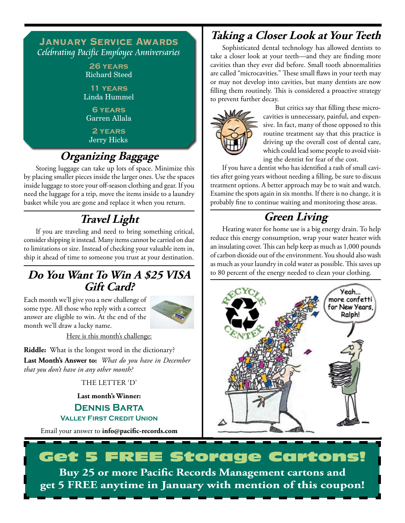#### **January Service Awards** Celebrating Pacific Employee Anniversaries

**26 years** Richard Steed

**11 years** Linda Hummel

**6 years** Garren Allala

**2 years** Jerry Hicks

# **Organizing Baggage**

Storing luggage can take up lots of space. Minimize this by placing smaller pieces inside the larger ones. Use the spaces inside luggage to store your off-season clothing and gear. If you need the luggage for a trip, move the items inside to a laundry basket while you are gone and replace it when you return.

# **Travel Light**

If you are traveling and need to bring something critical, consider shipping it instead. Many items cannot be carried on due to limitations or size. Instead of checking your valuable item in, ship it ahead of time to someone you trust at your destination.

### **Do You Want To Win A \$25 VISA Gift Card?**

Each month we'll give you a new challenge of some type. All those who reply with a correct answer are eligible to win. At the end of the month we'll draw a lucky name.



Here is this month's challenge:

**Riddle:** What is the longest word in the dictionary? **Last Month's Answer to:** *What do you have in December that you don't have in any other month?*

THE LETTER 'D'

**Last month's Winner:**

**Dennis Barta Valley First Credit Union**

Email your answer to **info@pacific-records.com**

### **Taking a Closer Look at Your Teeth**

Sophisticated dental technology has allowed dentists to take a closer look at your teeth—and they are finding more cavities than they ever did before. Small tooth abnormalities are called "microcavities." These small flaws in your teeth may or may not develop into cavities, but many dentists are now filling them routinely. This is considered a proactive strategy to prevent further decay.



But critics say that filling these microcavities is unnecessary, painful, and expensive. In fact, many of those opposed to this routine treatment say that this practice is driving up the overall cost of dental care, which could lead some people to avoid visiting the dentist for fear of the cost.

If you have a dentist who has identified a rash of small cavities after going years without needing a filling, be sure to discuss treatment options. A better approach may be to wait and watch. Examine the spots again in six months. If there is no change, it is probably fine to continue waiting and monitoring those areas.

# **Green Living**

Heating water for home use is a big energy drain. To help reduce this energy consumption, wrap your water heater with an insulating cover. This can help keep as much as 1,000 pounds of carbon dioxide out of the environment. You should also wash as much as your laundry in cold water as possible. This saves up to 80 percent of the energy needed to clean your clothing.



# Get 5 FREE Storage Cartons! **Buy 25 or more Pacific Records Management cartons and get 5 fREE anytime in January with mention of this coupon!**